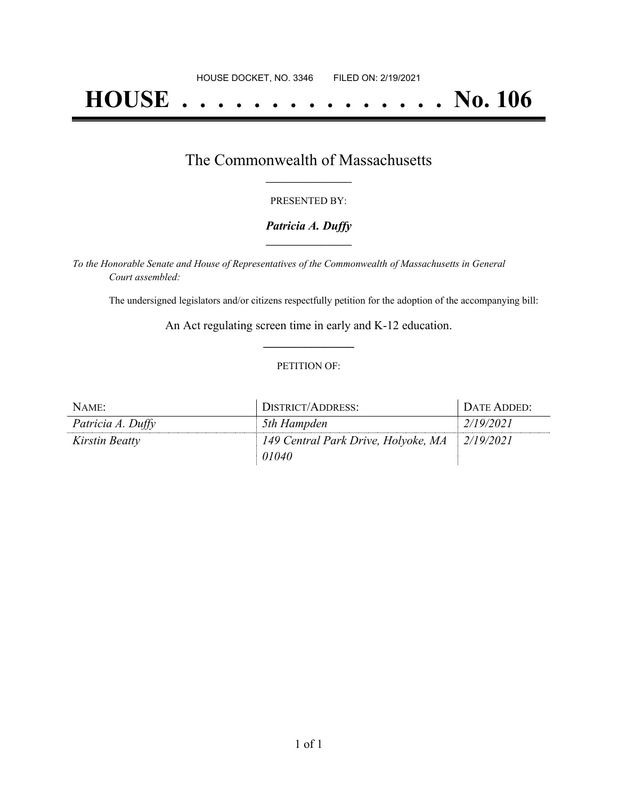# **HOUSE . . . . . . . . . . . . . . . No. 106**

### The Commonwealth of Massachusetts **\_\_\_\_\_\_\_\_\_\_\_\_\_\_\_\_\_**

### PRESENTED BY:

### *Patricia A. Duffy* **\_\_\_\_\_\_\_\_\_\_\_\_\_\_\_\_\_**

*To the Honorable Senate and House of Representatives of the Commonwealth of Massachusetts in General Court assembled:*

The undersigned legislators and/or citizens respectfully petition for the adoption of the accompanying bill:

An Act regulating screen time in early and K-12 education. **\_\_\_\_\_\_\_\_\_\_\_\_\_\_\_**

#### PETITION OF:

| NAME:             | DISTRICT/ADDRESS:                   | DATE ADDED: |
|-------------------|-------------------------------------|-------------|
| Patricia A. Duffy | 5th Hampden                         | 2/19/2021   |
| Kirstin Beatty    | 149 Central Park Drive, Holyoke, MA | 2/19/2021   |
|                   | 01040                               |             |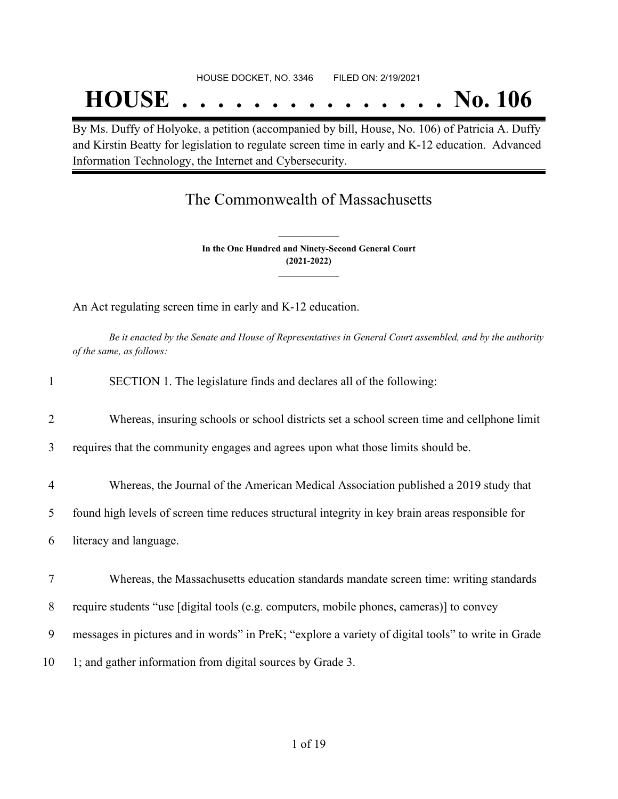# **HOUSE . . . . . . . . . . . . . . . No. 106**

By Ms. Duffy of Holyoke, a petition (accompanied by bill, House, No. 106) of Patricia A. Duffy and Kirstin Beatty for legislation to regulate screen time in early and K-12 education. Advanced Information Technology, the Internet and Cybersecurity.

## The Commonwealth of Massachusetts

**In the One Hundred and Ninety-Second General Court (2021-2022) \_\_\_\_\_\_\_\_\_\_\_\_\_\_\_**

**\_\_\_\_\_\_\_\_\_\_\_\_\_\_\_**

An Act regulating screen time in early and K-12 education.

Be it enacted by the Senate and House of Representatives in General Court assembled, and by the authority *of the same, as follows:*

| $\mathbf{1}$   | SECTION 1. The legislature finds and declares all of the following:                                |
|----------------|----------------------------------------------------------------------------------------------------|
| $\overline{2}$ | Whereas, insuring schools or school districts set a school screen time and cellphone limit         |
| 3              | requires that the community engages and agrees upon what those limits should be.                   |
| $\overline{4}$ | Whereas, the Journal of the American Medical Association published a 2019 study that               |
| 5              | found high levels of screen time reduces structural integrity in key brain areas responsible for   |
| 6              | literacy and language.                                                                             |
| 7              | Whereas, the Massachusetts education standards mandate screen time: writing standards              |
| 8              | require students "use [digital tools (e.g. computers, mobile phones, cameras)] to convey           |
| 9              | messages in pictures and in words" in PreK; "explore a variety of digital tools" to write in Grade |
| 10             | 1; and gather information from digital sources by Grade 3.                                         |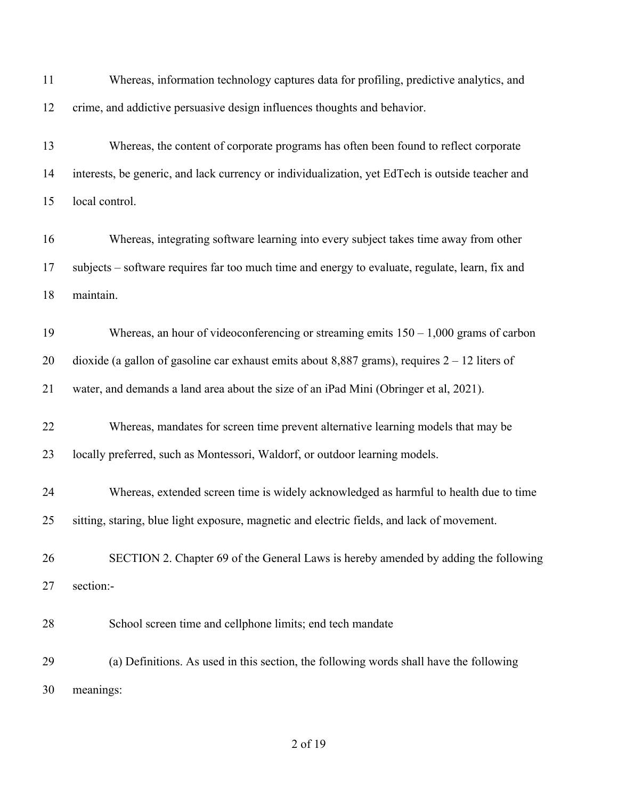| 11 | Whereas, information technology captures data for profiling, predictive analytics, and           |
|----|--------------------------------------------------------------------------------------------------|
| 12 | crime, and addictive persuasive design influences thoughts and behavior.                         |
| 13 | Whereas, the content of corporate programs has often been found to reflect corporate             |
| 14 | interests, be generic, and lack currency or individualization, yet EdTech is outside teacher and |
| 15 | local control.                                                                                   |
| 16 | Whereas, integrating software learning into every subject takes time away from other             |
| 17 | subjects - software requires far too much time and energy to evaluate, regulate, learn, fix and  |
| 18 | maintain.                                                                                        |
| 19 | Whereas, an hour of videoconferencing or streaming emits $150 - 1,000$ grams of carbon           |
| 20 | dioxide (a gallon of gasoline car exhaust emits about 8,887 grams), requires $2 - 12$ liters of  |
| 21 | water, and demands a land area about the size of an iPad Mini (Obringer et al, 2021).            |
| 22 | Whereas, mandates for screen time prevent alternative learning models that may be                |
| 23 | locally preferred, such as Montessori, Waldorf, or outdoor learning models.                      |
| 24 | Whereas, extended screen time is widely acknowledged as harmful to health due to time            |
| 25 | sitting, staring, blue light exposure, magnetic and electric fields, and lack of movement.       |
| 26 | SECTION 2. Chapter 69 of the General Laws is hereby amended by adding the following              |
| 27 | section:-                                                                                        |
| 28 | School screen time and cellphone limits; end tech mandate                                        |
| 29 | (a) Definitions. As used in this section, the following words shall have the following           |
| 30 | meanings:                                                                                        |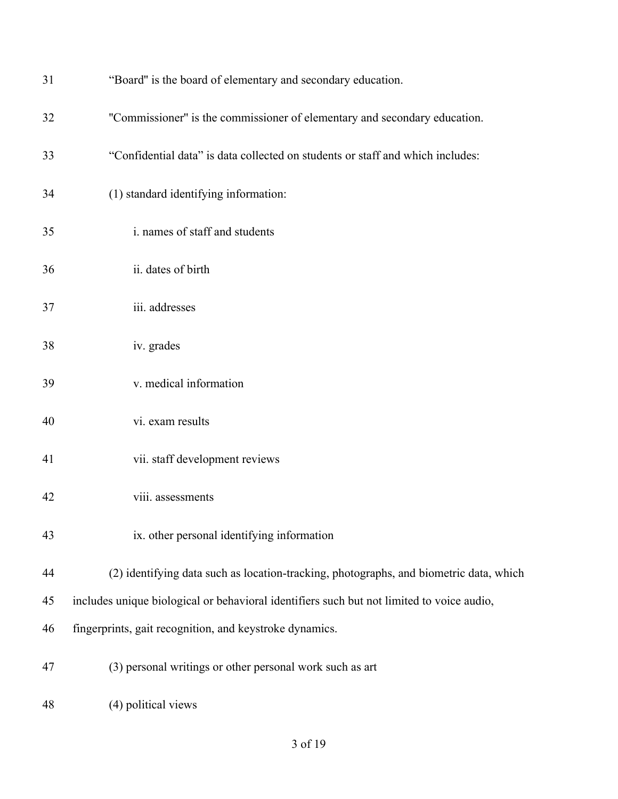| 31 | "Board" is the board of elementary and secondary education.                               |
|----|-------------------------------------------------------------------------------------------|
| 32 | "Commissioner" is the commissioner of elementary and secondary education.                 |
| 33 | "Confidential data" is data collected on students or staff and which includes:            |
| 34 | (1) standard identifying information:                                                     |
| 35 | i. names of staff and students                                                            |
| 36 | ii. dates of birth                                                                        |
| 37 | iii. addresses                                                                            |
| 38 | iv. grades                                                                                |
| 39 | v. medical information                                                                    |
| 40 | vi. exam results                                                                          |
| 41 | vii. staff development reviews                                                            |
| 42 | viii. assessments                                                                         |
| 43 | ix. other personal identifying information                                                |
| 44 | (2) identifying data such as location-tracking, photographs, and biometric data, which    |
| 45 | includes unique biological or behavioral identifiers such but not limited to voice audio, |
| 46 | fingerprints, gait recognition, and keystroke dynamics.                                   |
| 47 | (3) personal writings or other personal work such as art                                  |
| 48 | (4) political views                                                                       |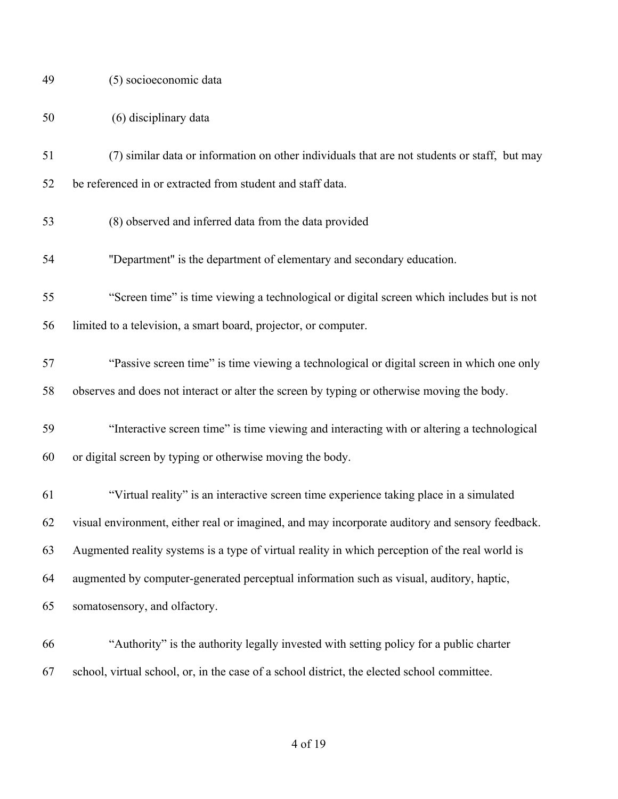| (5) socioeconomic data<br>-49 |  |
|-------------------------------|--|
|-------------------------------|--|

| 50 | (6) disciplinary data |  |
|----|-----------------------|--|
|    |                       |  |

- (7) similar data or information on other individuals that are not students or staff, but may be referenced in or extracted from student and staff data.
- (8) observed and inferred data from the data provided
- ''Department'' is the department of elementary and secondary education.
- "Screen time" is time viewing a technological or digital screen which includes but is not limited to a television, a smart board, projector, or computer.
- "Passive screen time" is time viewing a technological or digital screen in which one only observes and does not interact or alter the screen by typing or otherwise moving the body.
- "Interactive screen time" is time viewing and interacting with or altering a technological or digital screen by typing or otherwise moving the body.
- "Virtual reality" is an interactive screen time experience taking place in a simulated visual environment, either real or imagined, and may incorporate auditory and sensory feedback. Augmented reality systems is a type of virtual reality in which perception of the real world is augmented by computer-generated perceptual information such as visual, auditory, haptic, somatosensory, and olfactory.
- "Authority" is the authority legally invested with setting policy for a public charter school, virtual school, or, in the case of a school district, the elected school committee.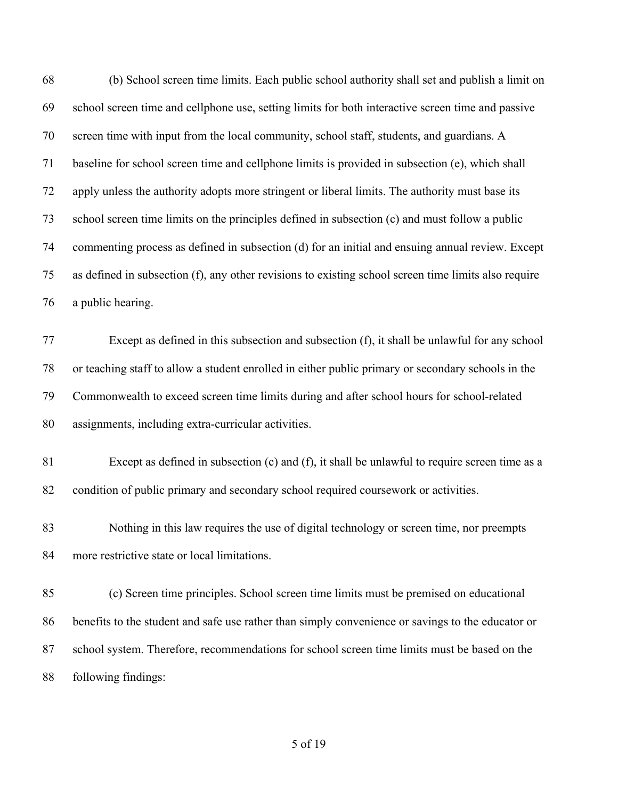| 68 | (b) School screen time limits. Each public school authority shall set and publish a limit on         |
|----|------------------------------------------------------------------------------------------------------|
| 69 | school screen time and cellphone use, setting limits for both interactive screen time and passive    |
| 70 | screen time with input from the local community, school staff, students, and guardians. A            |
| 71 | baseline for school screen time and cellphone limits is provided in subsection (e), which shall      |
| 72 | apply unless the authority adopts more stringent or liberal limits. The authority must base its      |
| 73 | school screen time limits on the principles defined in subsection (c) and must follow a public       |
| 74 | commenting process as defined in subsection (d) for an initial and ensuing annual review. Except     |
| 75 | as defined in subsection (f), any other revisions to existing school screen time limits also require |
| 76 | a public hearing.                                                                                    |
| 77 | Except as defined in this subsection and subsection (f), it shall be unlawful for any school         |
| 78 | or teaching staff to allow a student enrolled in either public primary or secondary schools in the   |
| 79 | Commonwealth to exceed screen time limits during and after school hours for school-related           |
| 80 | assignments, including extra-curricular activities.                                                  |
| 81 | Except as defined in subsection (c) and (f), it shall be unlawful to require screen time as a        |
| 82 | condition of public primary and secondary school required coursework or activities.                  |
| 83 | Nothing in this law requires the use of digital technology or screen time, nor preempts              |
| 84 | more restrictive state or local limitations.                                                         |
| 85 | (c) Screen time principles. School screen time limits must be premised on educational                |
| 86 | benefits to the student and safe use rather than simply convenience or savings to the educator or    |
| 87 | school system. Therefore, recommendations for school screen time limits must be based on the         |
| 88 | following findings:                                                                                  |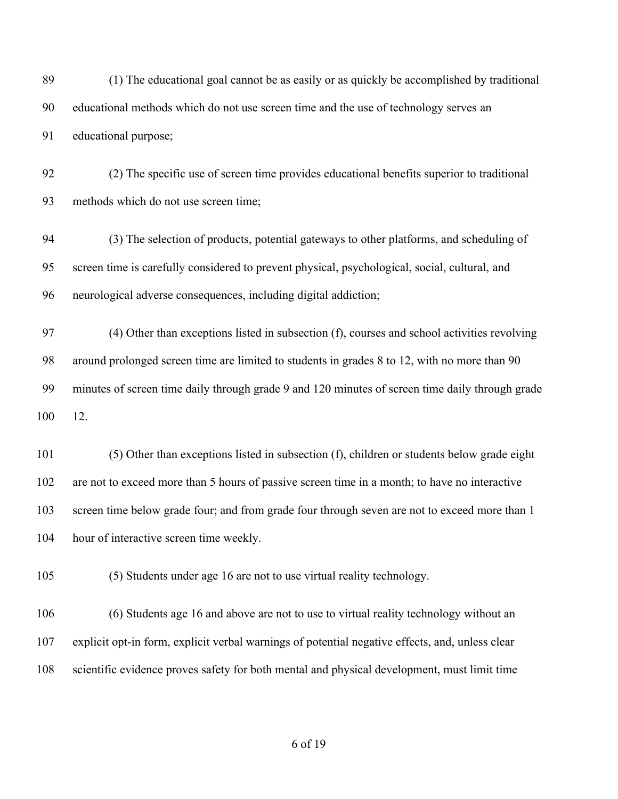(1) The educational goal cannot be as easily or as quickly be accomplished by traditional educational methods which do not use screen time and the use of technology serves an educational purpose;

 (2) The specific use of screen time provides educational benefits superior to traditional methods which do not use screen time;

 (3) The selection of products, potential gateways to other platforms, and scheduling of screen time is carefully considered to prevent physical, psychological, social, cultural, and neurological adverse consequences, including digital addiction;

 (4) Other than exceptions listed in subsection (f), courses and school activities revolving around prolonged screen time are limited to students in grades 8 to 12, with no more than 90 minutes of screen time daily through grade 9 and 120 minutes of screen time daily through grade 12.

 (5) Other than exceptions listed in subsection (f), children or students below grade eight are not to exceed more than 5 hours of passive screen time in a month; to have no interactive screen time below grade four; and from grade four through seven are not to exceed more than 1 hour of interactive screen time weekly.

(5) Students under age 16 are not to use virtual reality technology.

 (6) Students age 16 and above are not to use to virtual reality technology without an explicit opt-in form, explicit verbal warnings of potential negative effects, and, unless clear scientific evidence proves safety for both mental and physical development, must limit time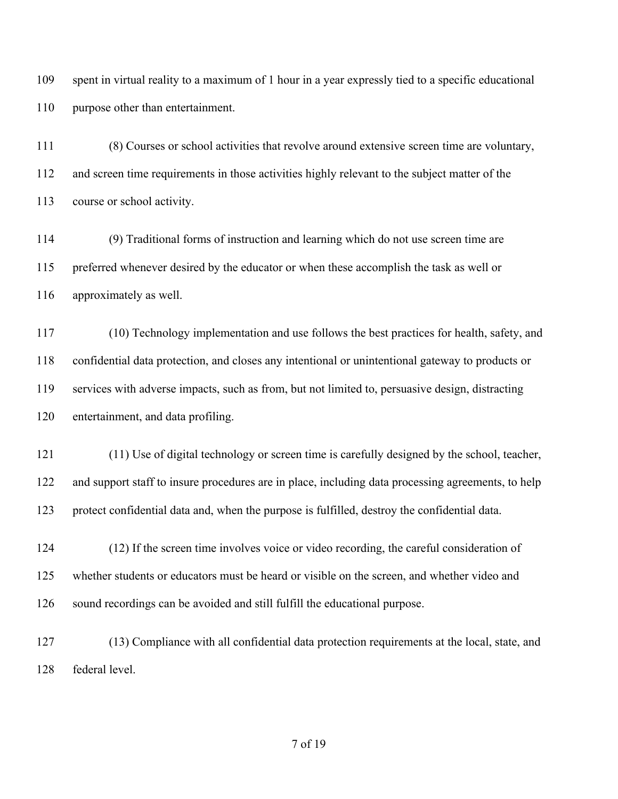spent in virtual reality to a maximum of 1 hour in a year expressly tied to a specific educational purpose other than entertainment.

 (8) Courses or school activities that revolve around extensive screen time are voluntary, and screen time requirements in those activities highly relevant to the subject matter of the course or school activity.

 (9) Traditional forms of instruction and learning which do not use screen time are preferred whenever desired by the educator or when these accomplish the task as well or approximately as well.

 (10) Technology implementation and use follows the best practices for health, safety, and confidential data protection, and closes any intentional or unintentional gateway to products or services with adverse impacts, such as from, but not limited to, persuasive design, distracting entertainment, and data profiling.

 (11) Use of digital technology or screen time is carefully designed by the school, teacher, and support staff to insure procedures are in place, including data processing agreements, to help protect confidential data and, when the purpose is fulfilled, destroy the confidential data.

 (12) If the screen time involves voice or video recording, the careful consideration of whether students or educators must be heard or visible on the screen, and whether video and sound recordings can be avoided and still fulfill the educational purpose.

 (13) Compliance with all confidential data protection requirements at the local, state, and federal level.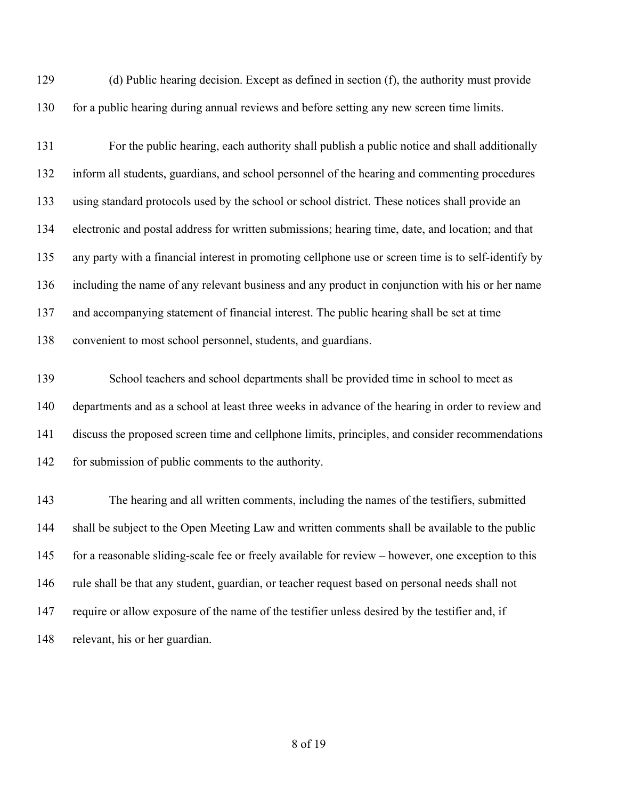(d) Public hearing decision. Except as defined in section (f), the authority must provide 130 for a public hearing during annual reviews and before setting any new screen time limits.

 For the public hearing, each authority shall publish a public notice and shall additionally inform all students, guardians, and school personnel of the hearing and commenting procedures using standard protocols used by the school or school district. These notices shall provide an electronic and postal address for written submissions; hearing time, date, and location; and that any party with a financial interest in promoting cellphone use or screen time is to self-identify by including the name of any relevant business and any product in conjunction with his or her name and accompanying statement of financial interest. The public hearing shall be set at time convenient to most school personnel, students, and guardians.

 School teachers and school departments shall be provided time in school to meet as departments and as a school at least three weeks in advance of the hearing in order to review and discuss the proposed screen time and cellphone limits, principles, and consider recommendations for submission of public comments to the authority.

 The hearing and all written comments, including the names of the testifiers, submitted shall be subject to the Open Meeting Law and written comments shall be available to the public for a reasonable sliding-scale fee or freely available for review – however, one exception to this rule shall be that any student, guardian, or teacher request based on personal needs shall not require or allow exposure of the name of the testifier unless desired by the testifier and, if relevant, his or her guardian.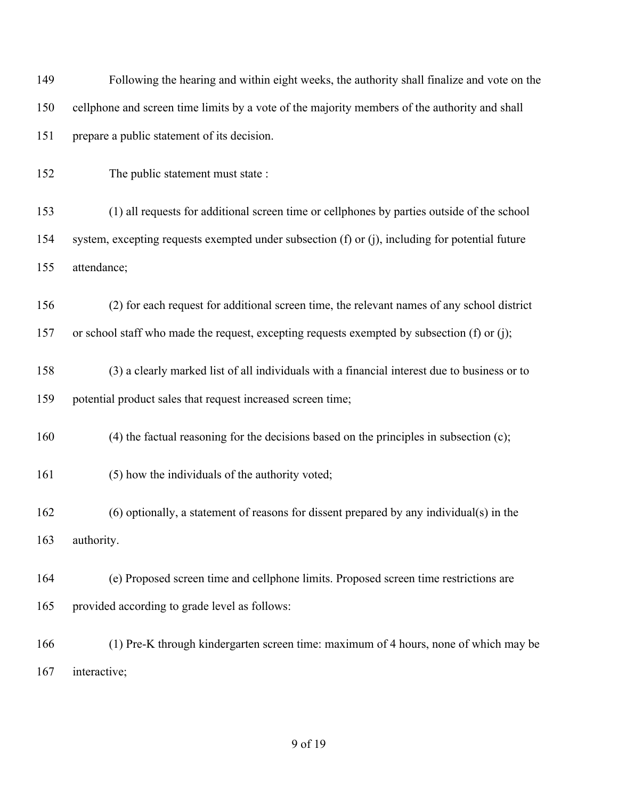Following the hearing and within eight weeks, the authority shall finalize and vote on the cellphone and screen time limits by a vote of the majority members of the authority and shall prepare a public statement of its decision. The public statement must state : (1) all requests for additional screen time or cellphones by parties outside of the school system, excepting requests exempted under subsection (f) or (j), including for potential future attendance; (2) for each request for additional screen time, the relevant names of any school district or school staff who made the request, excepting requests exempted by subsection (f) or (j); (3) a clearly marked list of all individuals with a financial interest due to business or to potential product sales that request increased screen time; (4) the factual reasoning for the decisions based on the principles in subsection (c); (5) how the individuals of the authority voted; (6) optionally, a statement of reasons for dissent prepared by any individual(s) in the authority. (e) Proposed screen time and cellphone limits. Proposed screen time restrictions are provided according to grade level as follows: (1) Pre-K through kindergarten screen time: maximum of 4 hours, none of which may be interactive;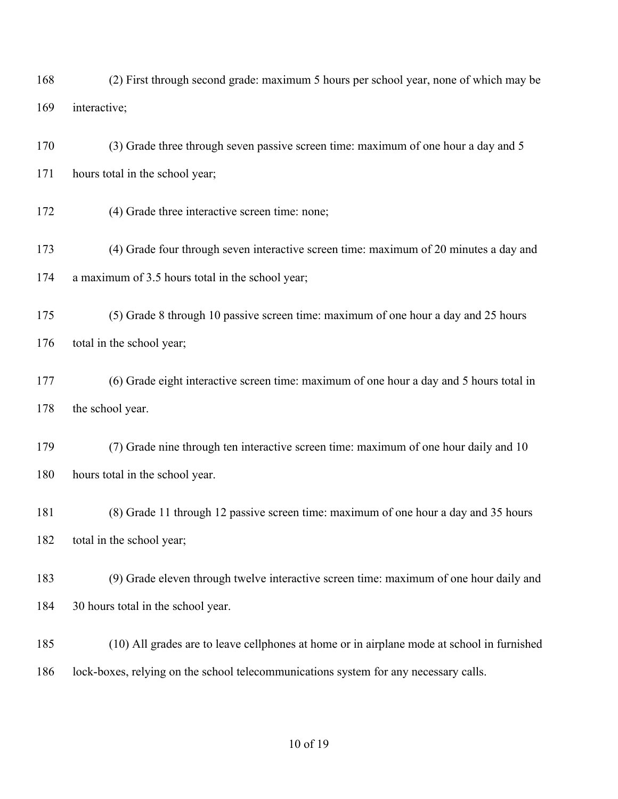(2) First through second grade: maximum 5 hours per school year, none of which may be interactive;

 (3) Grade three through seven passive screen time: maximum of one hour a day and 5 171 hours total in the school year;

(4) Grade three interactive screen time: none;

 (4) Grade four through seven interactive screen time: maximum of 20 minutes a day and a maximum of 3.5 hours total in the school year;

 (5) Grade 8 through 10 passive screen time: maximum of one hour a day and 25 hours 176 total in the school year;

 (6) Grade eight interactive screen time: maximum of one hour a day and 5 hours total in 178 the school year.

 (7) Grade nine through ten interactive screen time: maximum of one hour daily and 10 hours total in the school year.

 (8) Grade 11 through 12 passive screen time: maximum of one hour a day and 35 hours 182 total in the school year;

 (9) Grade eleven through twelve interactive screen time: maximum of one hour daily and 30 hours total in the school year.

 (10) All grades are to leave cellphones at home or in airplane mode at school in furnished lock-boxes, relying on the school telecommunications system for any necessary calls.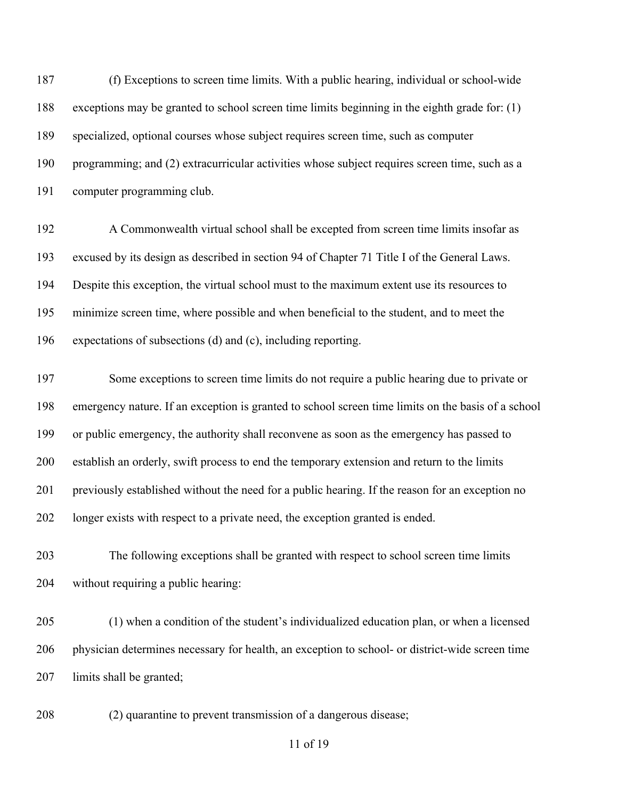(f) Exceptions to screen time limits. With a public hearing, individual or school-wide exceptions may be granted to school screen time limits beginning in the eighth grade for: (1) specialized, optional courses whose subject requires screen time, such as computer programming; and (2) extracurricular activities whose subject requires screen time, such as a computer programming club.

 A Commonwealth virtual school shall be excepted from screen time limits insofar as excused by its design as described in section 94 of Chapter 71 Title I of the General Laws. Despite this exception, the virtual school must to the maximum extent use its resources to minimize screen time, where possible and when beneficial to the student, and to meet the expectations of subsections (d) and (c), including reporting.

 Some exceptions to screen time limits do not require a public hearing due to private or emergency nature. If an exception is granted to school screen time limits on the basis of a school or public emergency, the authority shall reconvene as soon as the emergency has passed to establish an orderly, swift process to end the temporary extension and return to the limits previously established without the need for a public hearing. If the reason for an exception no longer exists with respect to a private need, the exception granted is ended.

 The following exceptions shall be granted with respect to school screen time limits without requiring a public hearing:

 (1) when a condition of the student's individualized education plan, or when a licensed physician determines necessary for health, an exception to school- or district-wide screen time limits shall be granted;

(2) quarantine to prevent transmission of a dangerous disease;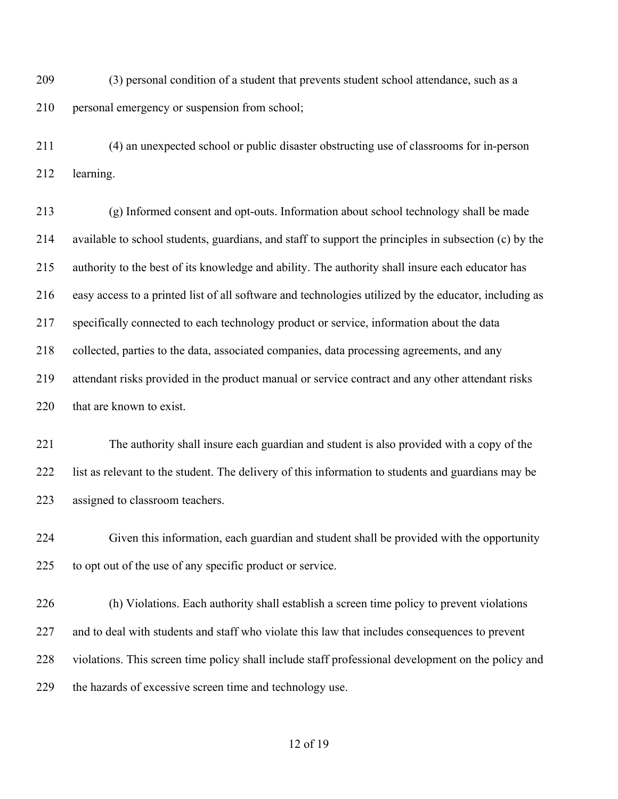(3) personal condition of a student that prevents student school attendance, such as a personal emergency or suspension from school;

 (4) an unexpected school or public disaster obstructing use of classrooms for in-person learning.

 (g) Informed consent and opt-outs. Information about school technology shall be made available to school students, guardians, and staff to support the principles in subsection (c) by the authority to the best of its knowledge and ability. The authority shall insure each educator has easy access to a printed list of all software and technologies utilized by the educator, including as specifically connected to each technology product or service, information about the data collected, parties to the data, associated companies, data processing agreements, and any attendant risks provided in the product manual or service contract and any other attendant risks 220 that are known to exist.

 The authority shall insure each guardian and student is also provided with a copy of the list as relevant to the student. The delivery of this information to students and guardians may be assigned to classroom teachers.

 Given this information, each guardian and student shall be provided with the opportunity to opt out of the use of any specific product or service.

 (h) Violations. Each authority shall establish a screen time policy to prevent violations and to deal with students and staff who violate this law that includes consequences to prevent violations. This screen time policy shall include staff professional development on the policy and the hazards of excessive screen time and technology use.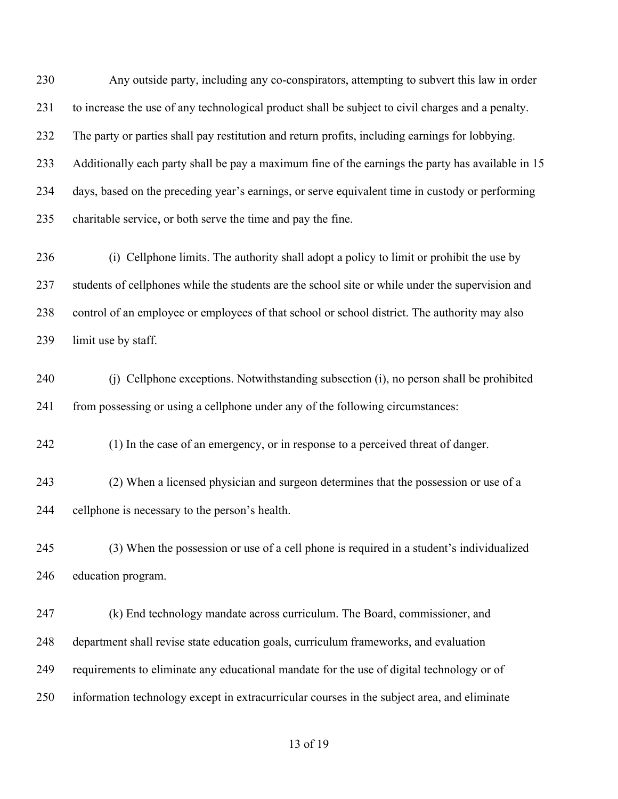Any outside party, including any co-conspirators, attempting to subvert this law in order to increase the use of any technological product shall be subject to civil charges and a penalty. The party or parties shall pay restitution and return profits, including earnings for lobbying. Additionally each party shall be pay a maximum fine of the earnings the party has available in 15 days, based on the preceding year's earnings, or serve equivalent time in custody or performing charitable service, or both serve the time and pay the fine.

 (i) Cellphone limits. The authority shall adopt a policy to limit or prohibit the use by students of cellphones while the students are the school site or while under the supervision and control of an employee or employees of that school or school district. The authority may also limit use by staff.

 (j) Cellphone exceptions. Notwithstanding subsection (i), no person shall be prohibited from possessing or using a cellphone under any of the following circumstances:

(1) In the case of an emergency, or in response to a perceived threat of danger.

 (2) When a licensed physician and surgeon determines that the possession or use of a cellphone is necessary to the person's health.

 (3) When the possession or use of a cell phone is required in a student's individualized education program.

 (k) End technology mandate across curriculum. The Board, commissioner, and department shall revise state education goals, curriculum frameworks, and evaluation requirements to eliminate any educational mandate for the use of digital technology or of information technology except in extracurricular courses in the subject area, and eliminate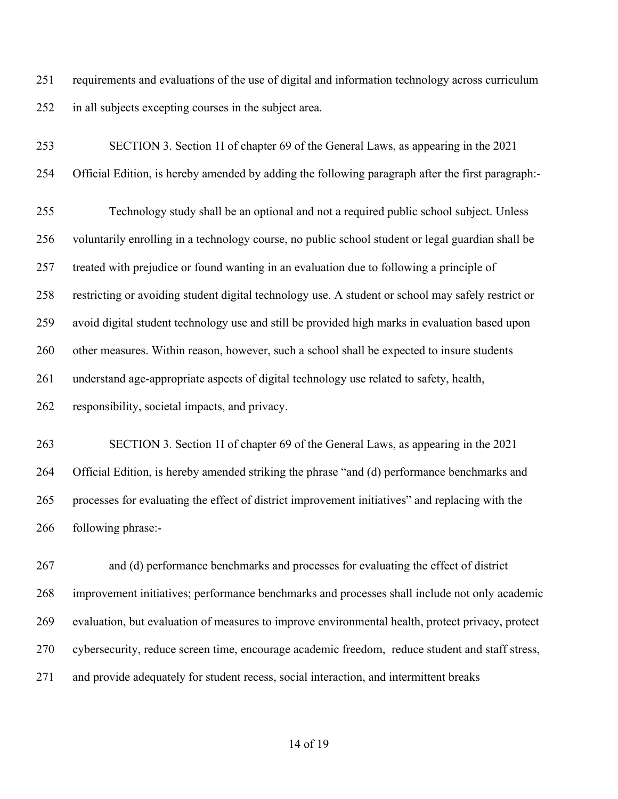requirements and evaluations of the use of digital and information technology across curriculum in all subjects excepting courses in the subject area.

 SECTION 3. Section 1I of chapter 69 of the General Laws, as appearing in the 2021 Official Edition, is hereby amended by adding the following paragraph after the first paragraph:- Technology study shall be an optional and not a required public school subject. Unless voluntarily enrolling in a technology course, no public school student or legal guardian shall be treated with prejudice or found wanting in an evaluation due to following a principle of restricting or avoiding student digital technology use. A student or school may safely restrict or avoid digital student technology use and still be provided high marks in evaluation based upon 260 other measures. Within reason, however, such a school shall be expected to insure students understand age-appropriate aspects of digital technology use related to safety, health, responsibility, societal impacts, and privacy.

 SECTION 3. Section 1I of chapter 69 of the General Laws, as appearing in the 2021 Official Edition, is hereby amended striking the phrase "and (d) performance benchmarks and processes for evaluating the effect of district improvement initiatives" and replacing with the following phrase:-

 and (d) performance benchmarks and processes for evaluating the effect of district improvement initiatives; performance benchmarks and processes shall include not only academic evaluation, but evaluation of measures to improve environmental health, protect privacy, protect cybersecurity, reduce screen time, encourage academic freedom, reduce student and staff stress, and provide adequately for student recess, social interaction, and intermittent breaks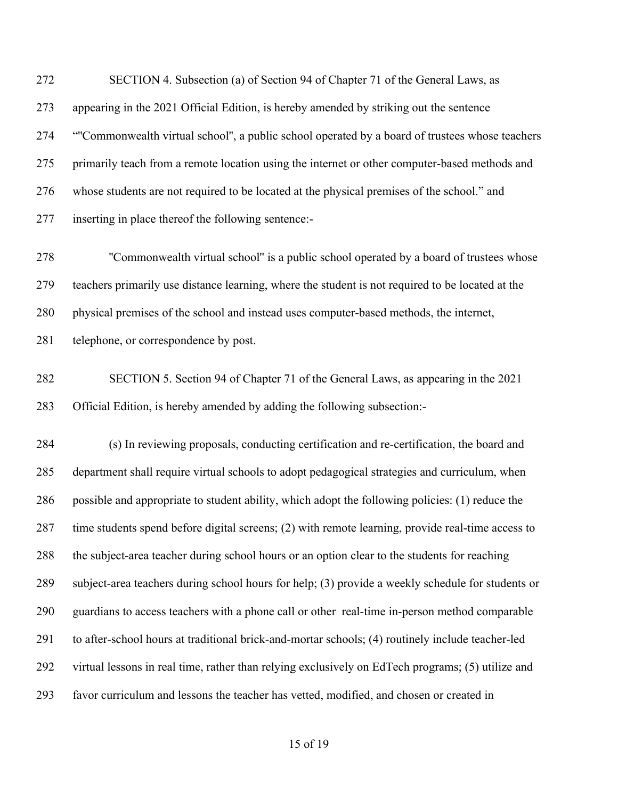SECTION 4. Subsection (a) of Section 94 of Chapter 71 of the General Laws, as appearing in the 2021 Official Edition, is hereby amended by striking out the sentence "''Commonwealth virtual school'', a public school operated by a board of trustees whose teachers 275 primarily teach from a remote location using the internet or other computer-based methods and whose students are not required to be located at the physical premises of the school." and inserting in place thereof the following sentence:-

278 ''Commonwealth virtual school" is a public school operated by a board of trustees whose teachers primarily use distance learning, where the student is not required to be located at the physical premises of the school and instead uses computer-based methods, the internet, telephone, or correspondence by post.

 SECTION 5. Section 94 of Chapter 71 of the General Laws, as appearing in the 2021 Official Edition, is hereby amended by adding the following subsection:-

 (s) In reviewing proposals, conducting certification and re-certification, the board and department shall require virtual schools to adopt pedagogical strategies and curriculum, when possible and appropriate to student ability, which adopt the following policies: (1) reduce the time students spend before digital screens; (2) with remote learning, provide real-time access to the subject-area teacher during school hours or an option clear to the students for reaching subject-area teachers during school hours for help; (3) provide a weekly schedule for students or guardians to access teachers with a phone call or other real-time in-person method comparable to after-school hours at traditional brick-and-mortar schools; (4) routinely include teacher-led virtual lessons in real time, rather than relying exclusively on EdTech programs; (5) utilize and favor curriculum and lessons the teacher has vetted, modified, and chosen or created in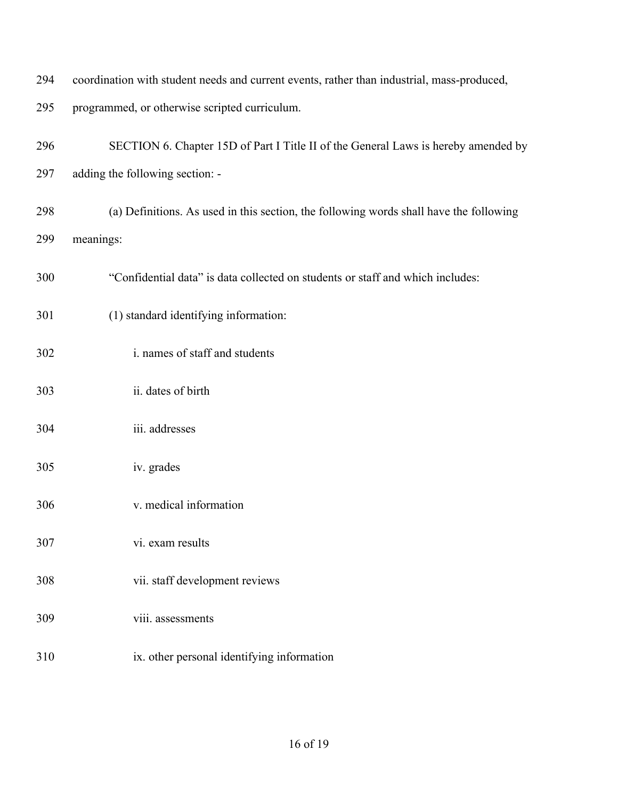| 294 | coordination with student needs and current events, rather than industrial, mass-produced, |
|-----|--------------------------------------------------------------------------------------------|
| 295 | programmed, or otherwise scripted curriculum.                                              |
| 296 | SECTION 6. Chapter 15D of Part I Title II of the General Laws is hereby amended by         |
| 297 | adding the following section: -                                                            |
| 298 | (a) Definitions. As used in this section, the following words shall have the following     |
| 299 | meanings:                                                                                  |
| 300 | "Confidential data" is data collected on students or staff and which includes:             |
| 301 | (1) standard identifying information:                                                      |
| 302 | i. names of staff and students                                                             |
| 303 | ii. dates of birth                                                                         |
| 304 | iii. addresses                                                                             |
| 305 | iv. grades                                                                                 |
| 306 | v. medical information                                                                     |
| 307 | vi. exam results                                                                           |
| 308 | vii. staff development reviews                                                             |
| 309 | viii. assessments                                                                          |
| 310 | ix. other personal identifying information                                                 |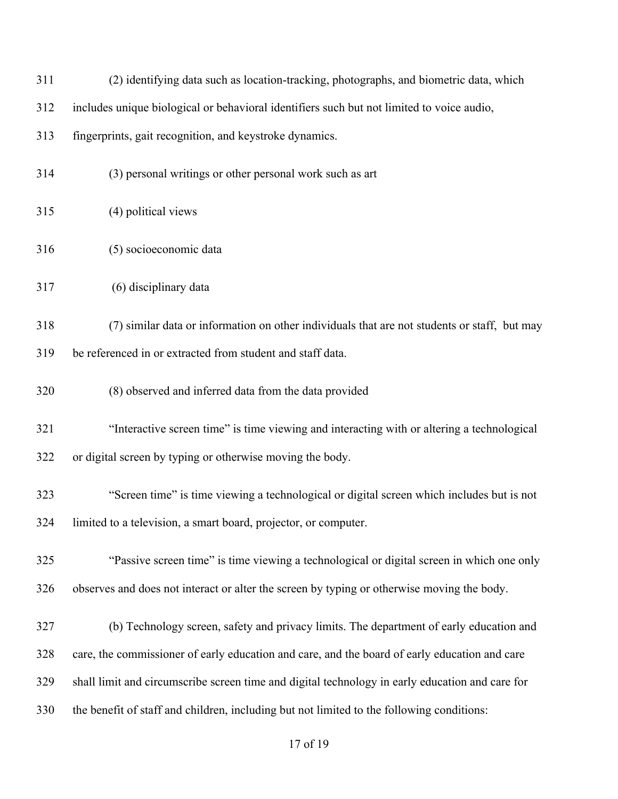| 311 | (2) identifying data such as location-tracking, photographs, and biometric data, which          |
|-----|-------------------------------------------------------------------------------------------------|
| 312 | includes unique biological or behavioral identifiers such but not limited to voice audio,       |
| 313 | fingerprints, gait recognition, and keystroke dynamics.                                         |
| 314 | (3) personal writings or other personal work such as art                                        |
| 315 | (4) political views                                                                             |
| 316 | (5) socioeconomic data                                                                          |
| 317 | (6) disciplinary data                                                                           |
| 318 | (7) similar data or information on other individuals that are not students or staff, but may    |
| 319 | be referenced in or extracted from student and staff data.                                      |
| 320 | (8) observed and inferred data from the data provided                                           |
| 321 | "Interactive screen time" is time viewing and interacting with or altering a technological      |
| 322 | or digital screen by typing or otherwise moving the body.                                       |
| 323 | "Screen time" is time viewing a technological or digital screen which includes but is not       |
| 324 | limited to a television, a smart board, projector, or computer.                                 |
| 325 | "Passive screen time" is time viewing a technological or digital screen in which one only       |
| 326 | observes and does not interact or alter the screen by typing or otherwise moving the body.      |
| 327 | (b) Technology screen, safety and privacy limits. The department of early education and         |
| 328 | care, the commissioner of early education and care, and the board of early education and care   |
| 329 | shall limit and circumscribe screen time and digital technology in early education and care for |
| 330 | the benefit of staff and children, including but not limited to the following conditions:       |
|     |                                                                                                 |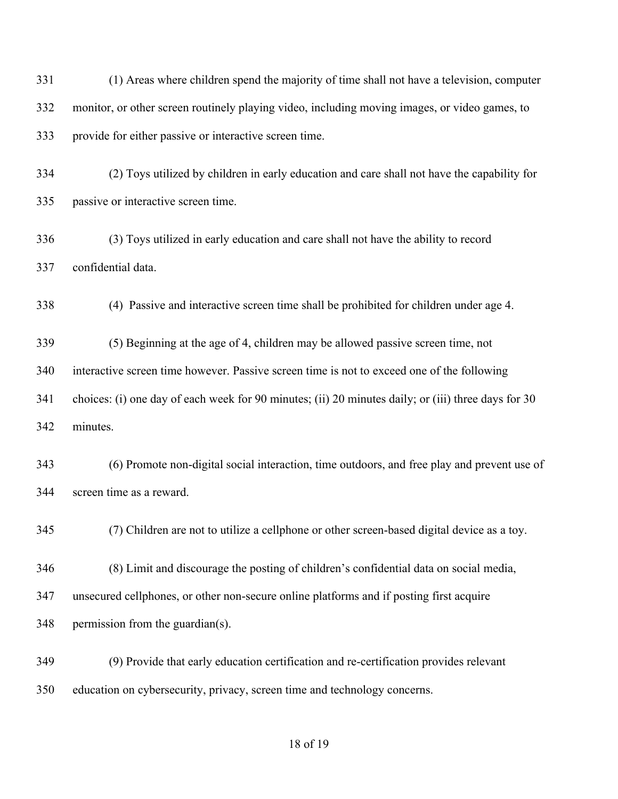| 331 | (1) Areas where children spend the majority of time shall not have a television, computer           |
|-----|-----------------------------------------------------------------------------------------------------|
| 332 | monitor, or other screen routinely playing video, including moving images, or video games, to       |
| 333 | provide for either passive or interactive screen time.                                              |
| 334 | (2) Toys utilized by children in early education and care shall not have the capability for         |
| 335 | passive or interactive screen time.                                                                 |
| 336 | (3) Toys utilized in early education and care shall not have the ability to record                  |
| 337 | confidential data.                                                                                  |
| 338 | (4) Passive and interactive screen time shall be prohibited for children under age 4.               |
| 339 | (5) Beginning at the age of 4, children may be allowed passive screen time, not                     |
| 340 | interactive screen time however. Passive screen time is not to exceed one of the following          |
| 341 | choices: (i) one day of each week for 90 minutes; (ii) 20 minutes daily; or (iii) three days for 30 |
| 342 | minutes.                                                                                            |
| 343 | (6) Promote non-digital social interaction, time outdoors, and free play and prevent use of         |
| 344 | screen time as a reward.                                                                            |
| 345 | (7) Children are not to utilize a cellphone or other screen-based digital device as a toy.          |
| 346 | (8) Limit and discourage the posting of children's confidential data on social media,               |
| 347 | unsecured cellphones, or other non-secure online platforms and if posting first acquire             |
| 348 | permission from the guardian(s).                                                                    |
| 349 | (9) Provide that early education certification and re-certification provides relevant               |
| 350 | education on cybersecurity, privacy, screen time and technology concerns.                           |